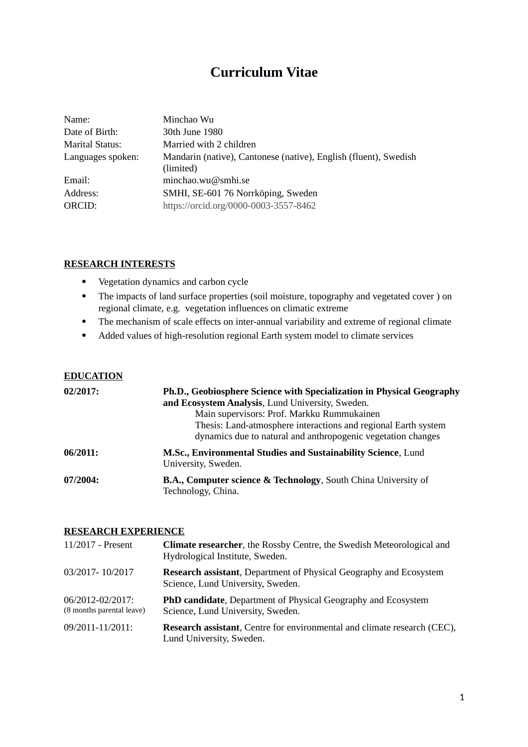# **Curriculum Vitae**

| Name:                  | Minchao Wu                                                                    |
|------------------------|-------------------------------------------------------------------------------|
| Date of Birth:         | 30th June 1980                                                                |
| <b>Marital Status:</b> | Married with 2 children                                                       |
| Languages spoken:      | Mandarin (native), Cantonese (native), English (fluent), Swedish<br>(limited) |
| Email:                 | minchao.wu@smhi.se                                                            |
| Address:               | SMHI, SE-601 76 Norrköping, Sweden                                            |
| ORCID:                 | https://orcid.org/0000-0003-3557-8462                                         |

### **RESEARCH INTERESTS**

- Vegetation dynamics and carbon cycle
- The impacts of land surface properties (soil moisture, topography and vegetated cover ) on regional climate, e.g. vegetation influences on climatic extreme
- The mechanism of scale effects on inter-annual variability and extreme of regional climate
- Added values of high-resolution regional Earth system model to climate services

#### **EDUCATION**

| $02/2017$ : | Ph.D., Geobiosphere Science with Specialization in Physical Geography<br>and Ecosystem Analysis, Lund University, Sweden.<br>Main supervisors: Prof. Markku Rummukainen<br>Thesis: Land-atmosphere interactions and regional Earth system<br>dynamics due to natural and anthropogenic vegetation changes |
|-------------|-----------------------------------------------------------------------------------------------------------------------------------------------------------------------------------------------------------------------------------------------------------------------------------------------------------|
| 06/2011:    | M.Sc., Environmental Studies and Sustainability Science, Lund<br>University, Sweden.                                                                                                                                                                                                                      |
| 07/2004:    | B.A., Computer science & Technology, South China University of<br>Technology, China.                                                                                                                                                                                                                      |

### **RESEARCH EXPERIENCE**

| 11/2017 - Present                             | <b>Climate researcher</b> , the Rossby Centre, the Swedish Meteorological and<br>Hydrological Institute, Sweden. |
|-----------------------------------------------|------------------------------------------------------------------------------------------------------------------|
| 03/2017-10/2017                               | <b>Research assistant</b> , Department of Physical Geography and Ecosystem<br>Science, Lund University, Sweden.  |
| 06/2012-02/2017:<br>(8 months parental leave) | PhD candidate, Department of Physical Geography and Ecosystem<br>Science, Lund University, Sweden.               |
| 09/2011-11/2011:                              | <b>Research assistant</b> , Centre for environmental and climate research (CEC),<br>Lund University, Sweden.     |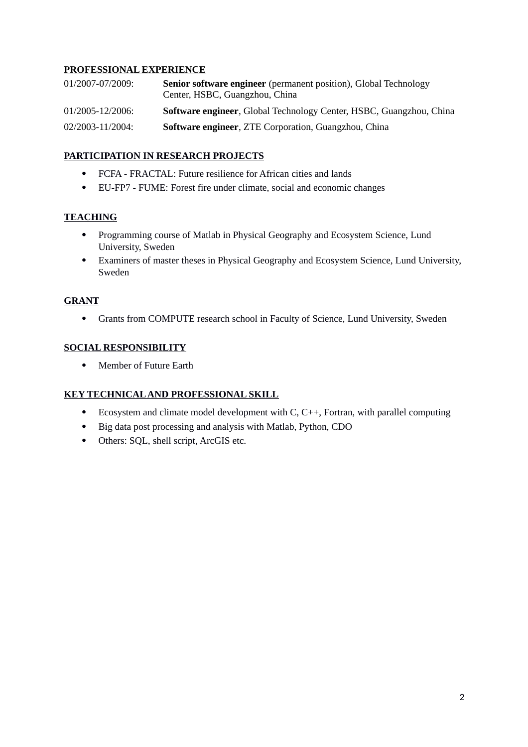# **PROFESSIONAL EXPERIENCE**

| 01/2007-07/2009: | <b>Senior software engineer</b> (permanent position), Global Technology<br>Center, HSBC, Guangzhou, China |
|------------------|-----------------------------------------------------------------------------------------------------------|
| 01/2005-12/2006: | Software engineer, Global Technology Center, HSBC, Guangzhou, China                                       |
| 02/2003-11/2004: | <b>Software engineer, ZTE Corporation, Guangzhou, China</b>                                               |

# **PARTICIPATION IN RESEARCH PROJECTS**

- FCFA FRACTAL: Future resilience for African cities and lands
- EU-FP7 FUME: Forest fire under climate, social and economic changes

# **TEACHING**

- Programming course of Matlab in Physical Geography and Ecosystem Science, Lund University, Sweden
- Examiners of master theses in Physical Geography and Ecosystem Science, Lund University, Sweden

# **GRANT**

Grants from COMPUTE research school in Faculty of Science, Lund University, Sweden

# **SOCIAL RESPONSIBILITY**

• Member of Future Earth

### **KEY TECHNICAL AND PROFESSIONAL SKILL**

- Ecosystem and climate model development with  $C, C++,$  Fortran, with parallel computing
- Big data post processing and analysis with Matlab, Python, CDO
- Others: SQL, shell script, ArcGIS etc.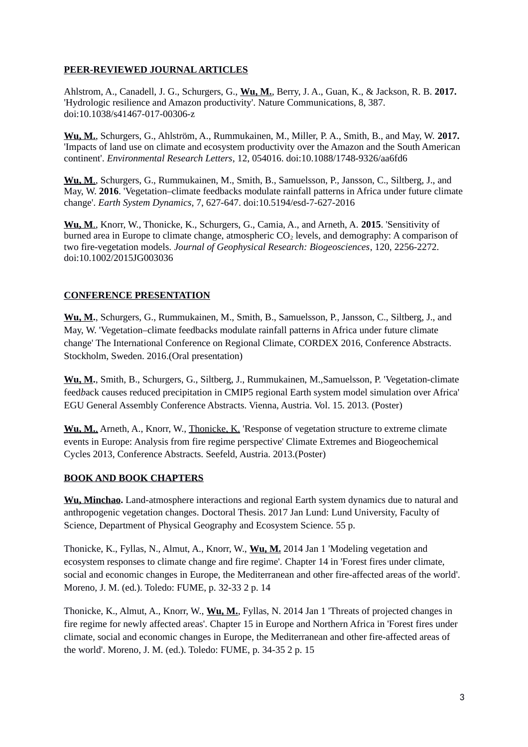# **PEER-REVIEWED JOURNAL ARTICLES**

Ahlstrom, A., Canadell, J. G., Schurgers, G., **Wu, M.**, Berry, J. A., Guan, K., & Jackson, R. B. **2017.** 'Hydrologic resilience and Amazon productivity'. Nature Communications, 8, 387. doi:10.1038/s41467-017-00306-z

**Wu, M.**, Schurgers, G., Ahlström, A., Rummukainen, M., Miller, P. A., Smith, B., and May, W. **2017.** 'Impacts of land use on climate and ecosystem productivity over the Amazon and the South American continent'. *Environmental Research Letters*, 12, 054016. doi:10.1088/1748-9326/aa6fd6

 **Wu, M**., Schurgers, G., Rummukainen, M., Smith, B., Samuelsson, P., Jansson, C., Siltberg, J., and May, W. **2016**. 'Vegetation–climate feedbacks modulate rainfall patterns in Africa under future climate change'. *Earth System Dynamics*, 7, 627-647. doi:10.5194/esd-7-627-2016

 **Wu, M**., Knorr, W., Thonicke, K., Schurgers, G., Camia, A., and Arneth, A. **2015**. 'Sensitivity of burned area in Europe to climate change, atmospheric  $CO<sub>2</sub>$  levels, and demography: A comparison of two fire-vegetation models. *Journal of Geophysical Research: Biogeosciences*, 120, 2256-2272. doi:10.1002/2015JG003036

### **CONFERENCE PRESENTATION**

**Wu, M.**, Schurgers, G., Rummukainen, M., Smith, B., Samuelsson, P., Jansson, C., Siltberg, J., and May, W. 'Vegetation–climate feedbacks modulate rainfall patterns in Africa under future climate change' The International Conference on Regional Climate, CORDEX 2016, Conference Abstracts. Stockholm, Sweden. 2016.(Oral presentation)

**Wu, M.**, Smith, B., Schurgers, G., Siltberg, J., Rummukainen, M.,Samuelsson, P. 'Vegetation-climate feed*b*ack causes reduced precipitation in CMIP5 regional Earth system model simulation over Africa' EGU General Assembly Conference Abstracts. Vienna, Austria. Vol. 15. 2013. (Poster)

 **Wu, M.**, Arneth, A., Knorr, W., Thonicke, K. 'Response of vegetation structure to extreme climate events in Europe: Analysis from fire regime perspective' Climate Extremes and Biogeochemical Cycles 2013, Conference Abstracts. Seefeld, Austria. 2013.(Poster)

### **BOOK AND BOOK CHAPTERS**

**Wu, Minchao.** Land-atmosphere interactions and regional Earth system dynamics due to natural and anthropogenic vegetation changes. Doctoral Thesis. 2017 Jan Lund: Lund University, Faculty of Science, Department of Physical Geography and Ecosystem Science. 55 p.

Thonicke, K., Fyllas, N., Almut, A., Knorr, W., **Wu, M.** 2014 Jan 1 'Modeling vegetation and ecosystem responses to climate change and fire regime'. Chapter 14 in 'Forest fires under climate, social and economic changes in Europe, the Mediterranean and other fire-affected areas of the world'. Moreno, J. M. (ed.). Toledo: FUME, p. 32-33 2 p. 14

Thonicke, K., Almut, A., Knorr, W., **Wu, M.**, Fyllas, N. 2014 Jan 1 'Threats of projected changes in fire regime for newly affected areas'. Chapter 15 in Europe and Northern Africa in 'Forest fires under climate, social and economic changes in Europe, the Mediterranean and other fire-affected areas of the world'. Moreno, J. M. (ed.). Toledo: FUME, p. 34-35 2 p. 15